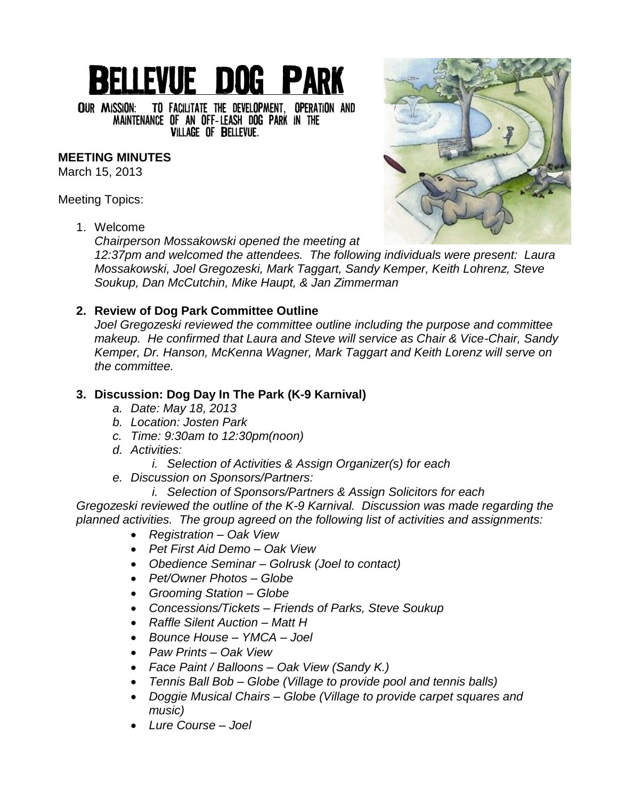# **BELLEVUE DOG PARK**

OUR MISSION: TO FACILITATE THE DEVELOPMENT, OPERATION AND MAINTENANCE OF AN OFF-LEASH DOG PARK IN THE **VILLAGE OF BELLEVUE.** 

## **MEETING MINUTES**

March 15, 2013

Meeting Topics:

1. Welcome

*Chairperson Mossakowski opened the meeting at* 

*12:37pm and welcomed the attendees. The following individuals were present: Laura Mossakowski, Joel Gregozeski, Mark Taggart, Sandy Kemper, Keith Lohrenz, Steve Soukup, Dan McCutchin, Mike Haupt, & Jan Zimmerman*

## **2. Review of Dog Park Committee Outline**

*Joel Gregozeski reviewed the committee outline including the purpose and committee makeup. He confirmed that Laura and Steve will service as Chair & Vice-Chair, Sandy Kemper, Dr. Hanson, McKenna Wagner, Mark Taggart and Keith Lorenz will serve on the committee.*

## **3. Discussion: Dog Day In The Park (K-9 Karnival)**

- *a. Date: May 18, 2013*
- *b. Location: Josten Park*
- *c. Time: 9:30am to 12:30pm(noon)*
- *d. Activities:*
	- *i. Selection of Activities & Assign Organizer(s) for each*
- *e. Discussion on Sponsors/Partners:*
	- *i. Selection of Sponsors/Partners & Assign Solicitors for each*

*Gregozeski reviewed the outline of the K-9 Karnival. Discussion was made regarding the planned activities. The group agreed on the following list of activities and assignments:*

- *Registration – Oak View*
- *Pet First Aid Demo – Oak View*
- *Obedience Seminar – Golrusk (Joel to contact)*
- *Pet/Owner Photos – Globe*
- *Grooming Station – Globe*
- *Concessions/Tickets – Friends of Parks, Steve Soukup*
- *Raffle Silent Auction – Matt H*
- *Bounce House – YMCA – Joel*
- *Paw Prints – Oak View*
- *Face Paint / Balloons – Oak View (Sandy K.)*
- *Tennis Ball Bob – Globe (Village to provide pool and tennis balls)*
- *Doggie Musical Chairs – Globe (Village to provide carpet squares and music)*
- *Lure Course – Joel*